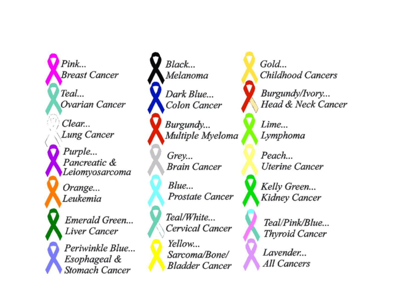$Pink...$ **Breast Cancer** Teal... Ovarian Cancer Clear... **Lung Cancer** Purple... Pancreatic & Leiomyosarcoma Orange... Leukemia Emerald Green... Liver Cancer Periwinkle Blue... Esophageal & Stomach Cancer

Black... Melanoma Dark Blue... Colon Cancer

Burgundy... Multiple Myeloma

Grey... **Brain Cancer** 

 $Blue...$ Prostate Cancer

Teal/White... Cervical Cancer Yellow... Sarcoma/Bone/ **Bladder Cancer**  Gold... Childhood Cancers

Burgundy/Ivory... Head & Neck Cancer

Lime... Lymphoma

Peach... **Uterine Cancer** 

Kelly Green... Kidney Cancer

Teal/Pink/Blue... Thyroid Cancer

Lavender... All Cancers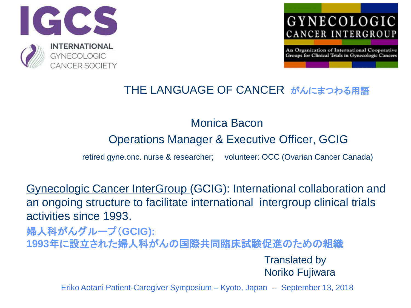



#### THE LANGUAGE OF CANCER がんにまつわる用語

#### Monica Bacon

#### Operations Manager & Executive Officer, GCIG

retired gyne.onc. nurse & researcher; volunteer: OCC (Ovarian Cancer Canada)

Gynecologic Cancer InterGroup (GCIG): International collaboration and an ongoing structure to facilitate international intergroup clinical trials activities since 1993.

婦人科がんグループ(**GCIG): 1993**年に設立された婦人科がんの国際共同臨床試験促進のための組織

> Translated by Noriko Fujiwara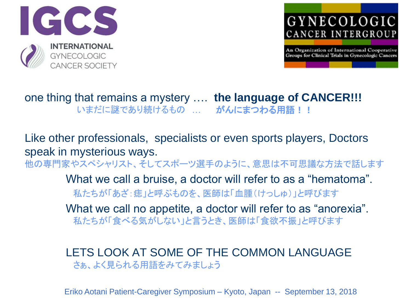



#### one thing that remains a mystery …. **the language of CANCER!!!** いまだに謎であり続けるもの … がんにまつわる用語!!

Like other professionals, specialists or even sports players, Doctors speak in mysterious ways. 他の専門家やスペシャリスト、そしてスポーツ選手のように、意思は不可思議な方法で話します What we call a bruise, a doctor will refer to as a "hematoma". 私たちが「あざ:痣」と呼ぶものを、医師は「血腫(けっしゅ)」と呼びます What we call no appetite, a doctor will refer to as "anorexia". 私たちが「食べる気がしない」と言うとき、医師は「食欲不振」と呼びます

LETS LOOK AT SOME OF THE COMMON LANGUAGE さぁ、よく見られる用語をみてみましょう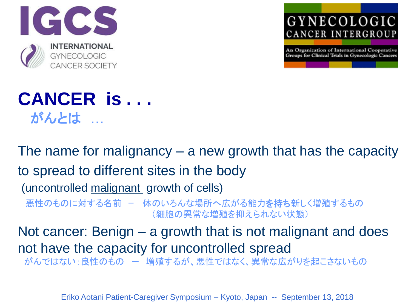



## **CANCER is . . .** がんとは …

The name for malignancy – a new growth that has the capacity to spread to different sites in the body

(uncontrolled malignant growth of cells)

悪性のものに対する名前 - 体のいろんな場所へ広がる能力を持ち新しく増殖するもの (細胞の異常な増殖を抑えられない状態)

Not cancer: Benign – a growth that is not malignant and does not have the capacity for uncontrolled spread がんではない:良性のもの ー 増殖するが、悪性ではなく、異常な広がりを起こさないもの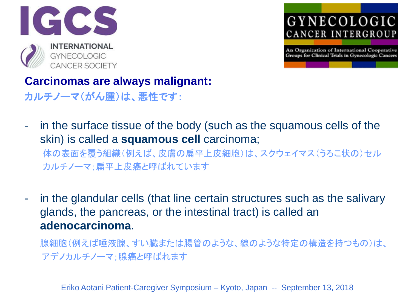



#### **Carcinomas are always malignant:**

- カルチノーマ(がん腫)は、悪性です:
- in the surface tissue of the body (such as the squamous cells of the skin) is called a **squamous cell** carcinoma;

体の表面を覆う組織(例えば、皮膚の扁平上皮細胞)は、スクウェイマス(うろこ状の)セル カルチノーマ;扁平上皮癌と呼ばれています

- in the glandular cells (that line certain structures such as the salivary glands, the pancreas, or the intestinal tract) is called an **adenocarcinoma**.

腺細胞(例えば唾液腺、すい臓または腸管のような、線のような特定の構造を持つもの)は、 アデノカルチノーマ;腺癌と呼ばれます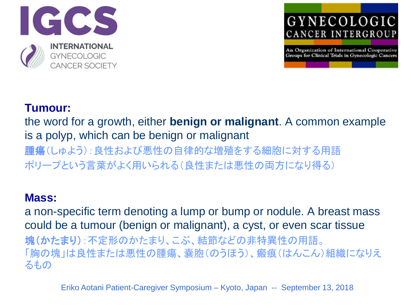



#### **Tumour:**

the word for a growth, either **benign or malignant**. A common example is a polyp, which can be benign or malignant

腫瘍(しゅよう):良性および悪性の自律的な増殖をする細胞に対する用語 ポリープという言葉がよく用いられる(良性または悪性の両方になり得る)

#### **Mass:**

a non-specific term denoting a lump or bump or nodule. A breast mass could be a tumour (benign or malignant), a cyst, or even scar tissue 塊(かたまり):不定形のかたまり、こぶ、結節などの非特異性の用語。 「胸の塊」は良性または悪性の腫瘍、嚢胞(のうほう)、瘢痕(はんこん)組織になりえ るもの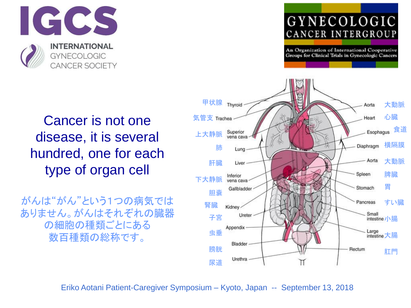

An Organization of International Cooperative Groups for Clinical Trials in Gynecologic Cancers



Cancer is not one disease, it is several hundred, one for each type of organ cell

がんは"がん"という1つの病気では ありません。がんはそれぞれの臓器 の細胞の種類ごとにある 数百種類の総称です。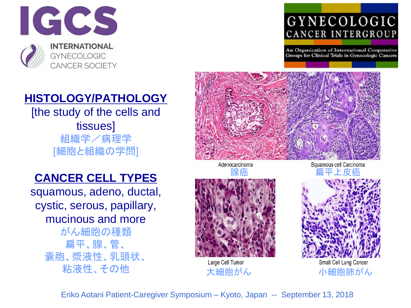

An Organization of International Cooperative Groups for Clinical Trials in Gynecologic Cancers

#### **HISTOLOGY/PATHOLOGY**

[the study of the cells and tissues] 組織学/病理学 [細胞と組織の学問]

#### **CANCER CELL TYPES**

squamous, adeno, ductal, cystic, serous, papillary, mucinous and more

がん細胞の種類 扁平、腺、管、 嚢胞、漿液性、乳頭状、 粘液性、その他



Adenocarcinoma

Squamous cell Carcinoma ネット 腺癌 かんしょう しゅうしゅう しゅうしゅう しゅうしゅう しゅうしょう



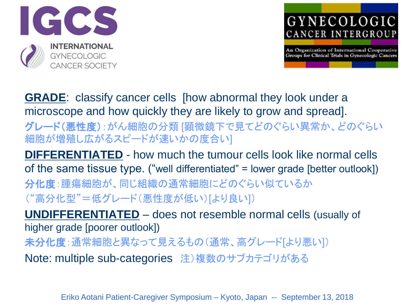

An Organization of International Cooperative Groups for Clinical Trials in Gynecologic Cancers

**GRADE**: classify cancer cells [how abnormal they look under a microscope and how quickly they are likely to grow and spread]. グレード(悪性度):がん細胞の分類 [顕微鏡下で見てどのぐらい異常か、どのぐらい 細胞が増殖し広がるスピードが速いかの度合い]

**DIFFERENTIATED** - how much the tumour cells look like normal cells of the same tissue type. ("well differentiated" = lower grade [better outlook]) 分化度:腫瘍細胞が、同じ組織の通常細胞にどのぐらい似ているか ("高分化型"=低グレード(悪性度が低い)[より良い])

**UNDIFFERENTIATED** – does not resemble normal cells (usually of higher grade [poorer outlook]) 未分化度:通常細胞と異なって見えるもの(通常、高グレード[より悪い]) Note: multiple sub-categories 注)複数のサブカテゴリがある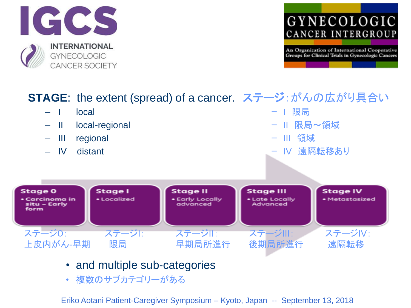



#### **STAGE**: the extent (spread) of a cancer. ステージ: がんの広がり具合い – I local ー I 限局 – II local-regional ー II 限局~領域 – III regional ー III 領域 — Ⅳ distant - Ⅳ 遠隔転移あり **Stage 0 Stage I Stage II Stage III Stage IV** • Localized • Early Locally · Metastasized • Carcinoma in • Late Locally situ – Early advanced Advanced form ステージ0: ステージI: ステージII: ステージIII: ステージIV: 上皮内がん-早期 限局 [早期局所進行](http://en.wikipedia.org/wiki/File:Cancer_stages.png) 後期局所進行 遠隔転移

- and multiple sub-categories
- 複数のサブカテゴリーがある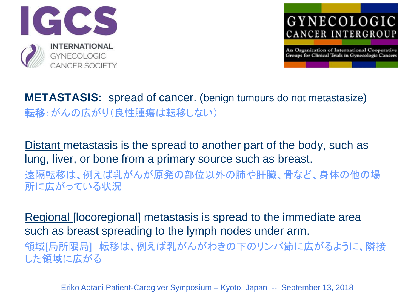



**METASTASIS:** spread of cancer. (benign tumours do not metastasize) 転移:がんの広がり(良性腫瘍は転移しない)

Distant metastasis is the spread to another part of the body, such as lung, liver, or bone from a primary source such as breast. 遠隔転移は、例えば乳がんが原発の部位以外の肺や肝臓、骨など、身体の他の場 所に広がっている状況

Regional [locoregional] metastasis is spread to the immediate area such as breast spreading to the lymph nodes under arm. 領域[局所限局] 転移は、例えば乳がんがわきの下のリンパ節に広がるように、隣接 した領域に広がる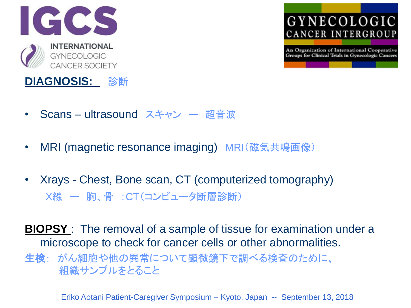



- Scans ultrasound スキャン ー 超音波
- MRI (magnetic resonance imaging) MRI(磁気共鳴画像)
- Xrays Chest, Bone scan, CT (computerized tomography) X線 ー 胸、骨 :CT(コンピュータ断層診断)

**BIOPSY** : The removal of a sample of tissue for examination under a microscope to check for cancer cells or other abnormalities.

生検: がん細胞や他の異常について顕微鏡下で調べる検査のために、 組織サンプルをとること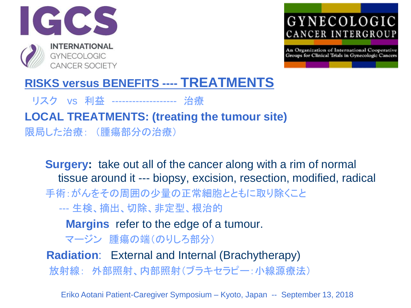



#### **RISKS versus BENEFITS ---- TREATMENTS**

リスク vs 利益 ------------------- 治療

**LOCAL TREATMENTS: (treating the tumour site)** 限局した治療: (腫瘍部分の治療)

**Surgery:** take out all of the cancer along with a rim of normal tissue around it --- biopsy, excision, resection, modified, radical 手術:がんをその周囲の少量の正常細胞とともに取り除くこと --- 生検、摘出、切除、非定型、根治的 **Margins** refer to the edge of a tumour. マージン 腫瘍の端(のりしろ部分) **Radiation**: External and Internal (Brachytherapy)

放射線: 外部照射、内部照射(ブラキセラピー:小線源療法)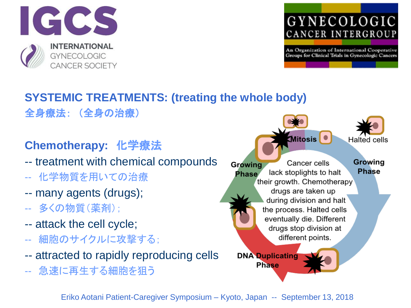

An Organization of International Cooperative Groups for Clinical Trials in Gynecologic Cancers

#### **SYSTEMIC TREATMENTS: (treating the whole body)** 全身療法: (全身の治療)

**Chemotherapy:** 化学療法

-- treatment with chemical compounds

- -- 化学物質を用いての治療
- -- many agents (drugs);
- -- 多くの物質(薬剤);
- -- attack the cell cycle;
- -- 細胞のサイクルに攻撃する;
- -- attracted to rapidly reproducing cells
- -- 急速に再生する細胞を狙う

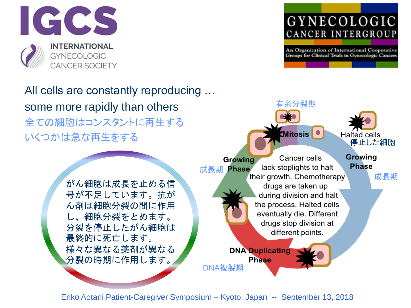

All cells are constantly reproducing … some more rapidly than others 全ての細胞はコンスタントに再生する いくつかは急な再生をする



#### GYNECOLOGIC CANCER INTERGROUP

An Organization of International Cooperative Groups for Clinical Trials in Gynecologic Cancers

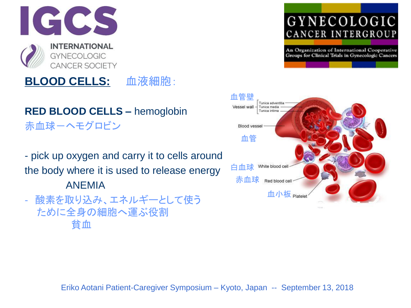#### **RED BLOOD CELLS –** hemoglobin 赤血球-ヘモグロビン

**BLOOD CELLS:** 血液細胞:

- pick up oxygen and carry it to cells around the body where it is used to release energy ANEMIA

- 酸素を取り込み、エネルギーとして使う ために全身の細胞へ運ぶ役割 貧血

#### GYNECOLOGIC CANCER INTERGROUP

An Organization of International Cooperative Groups for Clinical Trials in Gynecologic Cancers



血管壁

Tunica adventitia

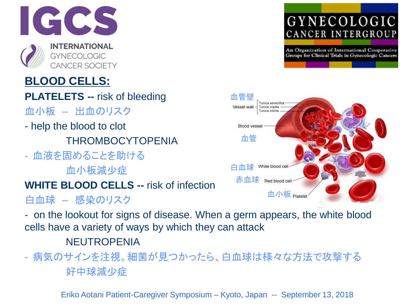

### **BLOOD CELLS:**

- **PLATELETS --** risk of bleeding 血小板 – 出血のリスク
- help the blood to clot THROMBOCYTOPENIA
- 血液を固めることを助ける 血小板減少症

#### **WHITE BLOOD CELLS --** risk of infection

白血球 – 感染のリスク

- on the lookout for signs of disease. When a germ appears, the white blood cells have a variety of ways by which they can attack

#### NEUTROPENIA

- 病気のサインを注視。細菌が見つかったら、白血球は様々な方法で攻撃する 好中球減少症

An Organization of International Cooperative Groups for Clinical Trials in Gynecologic Cancers

GYNECOLOGIC

CANCER INTERGROUP

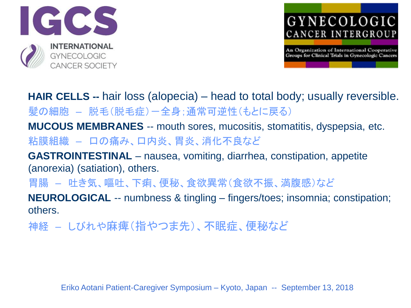



**HAIR CELLS --** hair loss (alopecia) – head to total body; usually reversible. 髪の細胞 – 脱毛(脱毛症)-全身;通常可逆性(もとに戻る)

**MUCOUS MEMBRANES** -- mouth sores, mucositis, stomatitis, dyspepsia, etc. 粘膜組織 – 口の痛み、口内炎、胃炎、消化不良など

**GASTROINTESTINAL** – nausea, vomiting, diarrhea, constipation, appetite (anorexia) (satiation), others.

胃腸 – 吐き気、嘔吐、下痢、便秘、食欲異常(食欲不振、満腹感)など

**NEUROLOGICAL** -- numbness & tingling – fingers/toes; insomnia; constipation; others.

神経 – しびれや麻痺(指やつま先)、不眠症、便秘など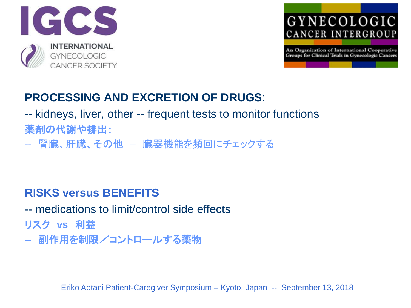



#### **PROCESSING AND EXCRETION OF DRUGS**:

-- kidneys, liver, other -- frequent tests to monitor functions 薬剤の代謝や排出:

-- 腎臓、肝臓、その他 – 臓器機能を頻回にチェックする

#### **RISKS versus BENEFITS**

-- medications to limit/control side effects

リスク **vs** 利益

**--** 副作用を制限/コントロールする薬物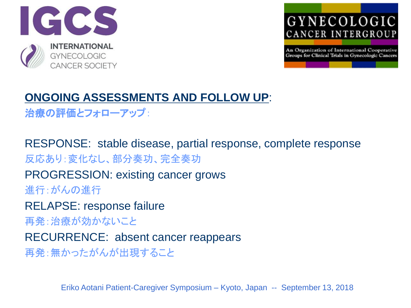



### **ONGOING ASSESSMENTS AND FOLLOW UP**:

治療の評価とフォローアップ:

RESPONSE: stable disease, partial response, complete response 反応あり:変化なし、部分奏功、完全奏功

PROGRESSION: existing cancer grows 進行:がんの進行

RELAPSE: response failure

再発:治療が効かないこと

RECURRENCE: absent cancer reappears

再発:無かったがんが出現すること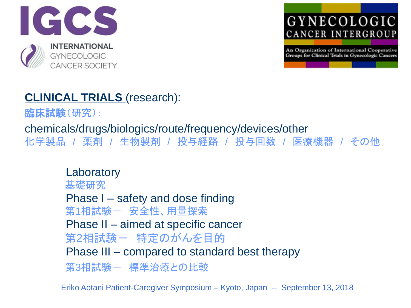

An Organization of International Cooperative Groups for Clinical Trials in Gynecologic Cancers

#### **CLINICAL TRIALS** (research):

臨床試験(研究):

chemicals/drugs/biologics/route/frequency/devices/other

化学製品 / 薬剤 / 生物製剤 / 投与経路 / 投与回数 / 医療機器 / その他

**Laboratory** 基礎研究 Phase I – safety and dose finding 第1相試験- 安全性、用量探索 Phase II – aimed at specific cancer 第2相試験ー 特定のがんを目的 Phase III – compared to standard best therapy 第3相試験- 標準治療との比較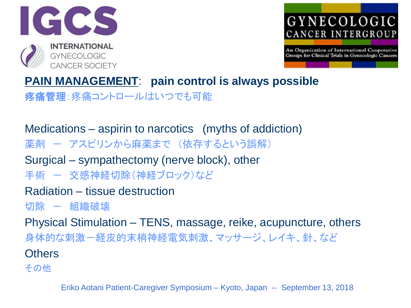



# **PAIN MANAGEMENT**: **pain control is always possible**

疼痛管理:疼痛コントロールはいつでも可能

### Medications – aspirin to narcotics (myths of addiction)

薬剤 - アスピリンから麻薬まで (依存するという誤解)

Surgical – sympathectomy (nerve block), other

手術 ー 交感神経切除(神経ブロック)など

#### Radiation – tissue destruction

切除 — 組織破壊

Physical Stimulation – TENS, massage, reike, acupuncture, others 身体的な刺激-経皮的末梢神経電気刺激、マッサージ、レイキ、針、など **Others** 

その他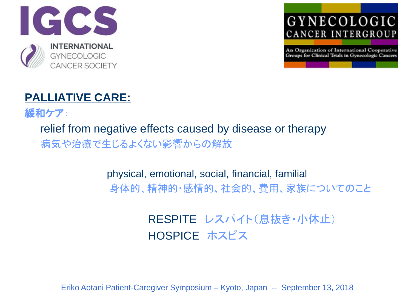





緩和ケア:

relief from negative effects caused by disease or therapy 病気や治療で生じるよくない影響からの解放

> physical, emotional, social, financial, familial 身体的、精神的・感情的、社会的、費用、家族についてのこと

> > RESPITE レスパイト(息抜き・小休止) HOSPICE ホスピス